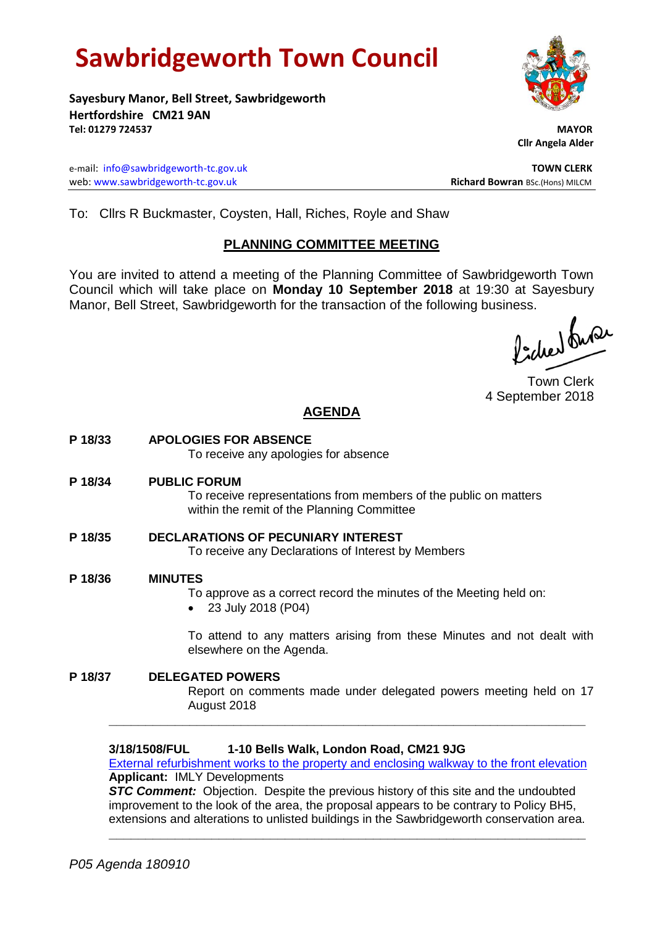# **Sawbridgeworth Town Council**

**Sayesbury Manor, Bell Street, Sawbridgeworth Hertfordshire CM21 9AN Tel: 01279 724537 MAYOR**

e-mail: [info@sawbridgeworth-tc.gov.uk](mailto:info@sawbridgeworth-tc.gov.uk) **TOWN CLERK** web: www.sawbridgeworth-tc.gov.uk **Richard Bowran** BSc.(Hons) MILCM

 **Cllr Angela Alder**

To: Cllrs R Buckmaster, Coysten, Hall, Riches, Royle and Shaw

# **PLANNING COMMITTEE MEETING**

You are invited to attend a meeting of the Planning Committee of Sawbridgeworth Town Council which will take place on **Monday 10 September 2018** at 19:30 at Sayesbury Manor, Bell Street, Sawbridgeworth for the transaction of the following business.<br>  $\int_{-1}^{1} \sqrt{2\pi} \, dx$ 

Town Clerk 4 September 2018

# **AGENDA**

**P 18/33 APOLOGIES FOR ABSENCE** To receive any apologies for absence **P 18/34 PUBLIC FORUM**

To receive representations from members of the public on matters within the remit of the Planning Committee

- **P 18/35 DECLARATIONS OF PECUNIARY INTEREST** To receive any Declarations of Interest by Members
- **P 18/36 MINUTES**
	- To approve as a correct record the minutes of the Meeting held on:
	- 23 July 2018 (P04)

To attend to any matters arising from these Minutes and not dealt with elsewhere on the Agenda.

**P 18/37 DELEGATED POWERS** Report on comments made under delegated powers meeting held on 17 August 2018 **\_\_\_\_\_\_\_\_\_\_\_\_\_\_\_\_\_\_\_\_\_\_\_\_\_\_\_\_\_\_\_\_\_\_\_\_\_\_\_\_\_\_\_\_\_\_\_\_\_\_\_\_\_\_\_\_\_\_\_\_\_\_\_\_\_**

# **3/18/1508/FUL 1-10 Bells Walk, London Road, CM21 9JG**

[External refurbishment works to the property and enclosing walkway to the front elevation](https://publicaccess.eastherts.gov.uk/online-applications/applicationDetails.do?activeTab=documents&keyVal=PB4JIGGLMM700) **Applicant:** IMLY Developments

*STC Comment:* Objection. Despite the previous history of this site and the undoubted improvement to the look of the area, the proposal appears to be contrary to Policy BH5, extensions and alterations to unlisted buildings in the Sawbridgeworth conservation area.

**\_\_\_\_\_\_\_\_\_\_\_\_\_\_\_\_\_\_\_\_\_\_\_\_\_\_\_\_\_\_\_\_\_\_\_\_\_\_\_\_\_\_\_\_\_\_\_\_\_\_\_\_\_\_\_\_\_\_\_\_\_\_\_\_\_**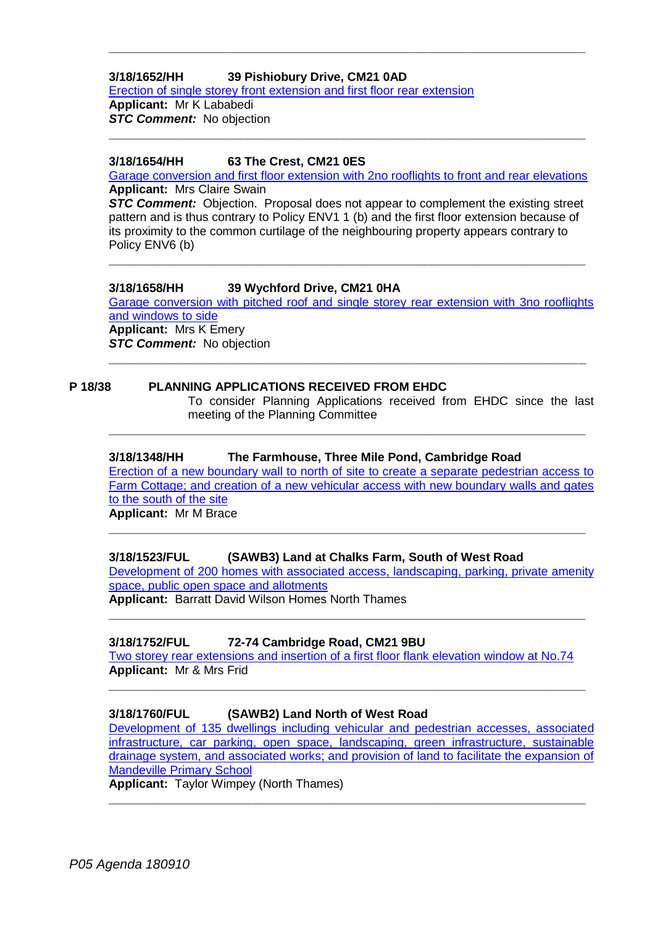# **3/18/1652/HH 39 Pishiobury Drive, CM21 0AD**

[Erection of single storey front extension and first floor rear extension](https://publicaccess.eastherts.gov.uk/online-applications/applicationDetails.do?activeTab=documents&keyVal=PC2HQOGLMWY00) **Applicant:** Mr K Lababedi **STC Comment:** No objection

# **3/18/1654/HH 63 The Crest, CM21 0ES**

[Garage conversion and first floor extension with 2no rooflights to front and rear elevations](https://publicaccess.eastherts.gov.uk/online-applications/applicationDetails.do?keyVal=PC2HR0GLMX200&activeTab=summary) **Applicant:** Mrs Claire Swain

**\_\_\_\_\_\_\_\_\_\_\_\_\_\_\_\_\_\_\_\_\_\_\_\_\_\_\_\_\_\_\_\_\_\_\_\_\_\_\_\_\_\_\_\_\_\_\_\_\_\_\_\_\_\_\_\_\_\_\_\_\_\_\_\_\_**

**\_\_\_\_\_\_\_\_\_\_\_\_\_\_\_\_\_\_\_\_\_\_\_\_\_\_\_\_\_\_\_\_\_\_\_\_\_\_\_\_\_\_\_\_\_\_\_\_\_\_\_\_\_\_\_\_\_\_\_\_\_\_\_\_\_**

*STC Comment:* Objection. Proposal does not appear to complement the existing street pattern and is thus contrary to Policy ENV1 1 (b) and the first floor extension because of its proximity to the common curtilage of the neighbouring property appears contrary to Policy ENV6 (b)

**\_\_\_\_\_\_\_\_\_\_\_\_\_\_\_\_\_\_\_\_\_\_\_\_\_\_\_\_\_\_\_\_\_\_\_\_\_\_\_\_\_\_\_\_\_\_\_\_\_\_\_\_\_\_\_\_\_\_\_\_\_\_\_\_\_**

# **3/18/1658/HH 39 Wychford Drive, CM21 0HA**

[Garage conversion with pitched roof and single storey rear extension with 3no rooflights](https://publicaccess.eastherts.gov.uk/online-applications/applicationDetails.do?keyVal=PC419WGLMXB00&activeTab=summary)  [and windows to side](https://publicaccess.eastherts.gov.uk/online-applications/applicationDetails.do?keyVal=PC419WGLMXB00&activeTab=summary)

**\_\_\_\_\_\_\_\_\_\_\_\_\_\_\_\_\_\_\_\_\_\_\_\_\_\_\_\_\_\_\_\_\_\_\_\_\_\_\_\_\_\_\_\_\_\_\_\_\_\_\_\_\_\_\_\_\_\_\_\_\_\_\_\_\_**

**\_\_\_\_\_\_\_\_\_\_\_\_\_\_\_\_\_\_\_\_\_\_\_\_\_\_\_\_\_\_\_\_\_\_\_\_\_\_\_\_\_\_\_\_\_\_\_\_\_\_\_\_\_\_\_\_\_\_\_\_\_\_\_\_\_**

**Applicant:** Mrs K Emery **STC Comment:** No objection

# **P 18/38 PLANNING APPLICATIONS RECEIVED FROM EHDC**

To consider Planning Applications received from EHDC since the last meeting of the Planning Committee

## **3/18/1348/HH The Farmhouse, Three Mile Pond, Cambridge Road**

[Erection of a new boundary wall to north of site to create a separate pedestrian access to](https://publicaccess.eastherts.gov.uk/online-applications/applicationDetails.do?activeTab=documents&keyVal=PA7QAXGLMCD00)  [Farm Cottage; and creation of a new vehicular access with new boundary walls and gates](https://publicaccess.eastherts.gov.uk/online-applications/applicationDetails.do?activeTab=documents&keyVal=PA7QAXGLMCD00)  [to the south of the site](https://publicaccess.eastherts.gov.uk/online-applications/applicationDetails.do?activeTab=documents&keyVal=PA7QAXGLMCD00)

**\_\_\_\_\_\_\_\_\_\_\_\_\_\_\_\_\_\_\_\_\_\_\_\_\_\_\_\_\_\_\_\_\_\_\_\_\_\_\_\_\_\_\_\_\_\_\_\_\_\_\_\_\_\_\_\_\_\_\_\_\_\_\_\_\_**

**Applicant:** Mr M Brace

# **3/18/1523/FUL (SAWB3) Land at Chalks Farm, South of West Road**

[Development of 200 homes with associated access, landscaping, parking, private amenity](https://publicaccess.eastherts.gov.uk/online-applications/applicationDetails.do?activeTab=documents&keyVal=PBAEOAGLMNG00)  [space, public open space and allotments](https://publicaccess.eastherts.gov.uk/online-applications/applicationDetails.do?activeTab=documents&keyVal=PBAEOAGLMNG00)

**\_\_\_\_\_\_\_\_\_\_\_\_\_\_\_\_\_\_\_\_\_\_\_\_\_\_\_\_\_\_\_\_\_\_\_\_\_\_\_\_\_\_\_\_\_\_\_\_\_\_\_\_\_\_\_\_\_\_\_\_\_\_\_\_\_**

**Applicant:** Barratt David Wilson Homes North Thames

# **3/18/1752/FUL 72-74 Cambridge Road, CM21 9BU**

[Two storey rear extensions and insertion of a first floor flank elevation window at No.74](https://publicaccess.eastherts.gov.uk/online-applications/applicationDetails.do?activeTab=documents&keyVal=PCQ98UGLN3W00) **Applicant:** Mr & Mrs Frid

**\_\_\_\_\_\_\_\_\_\_\_\_\_\_\_\_\_\_\_\_\_\_\_\_\_\_\_\_\_\_\_\_\_\_\_\_\_\_\_\_\_\_\_\_\_\_\_\_\_\_\_\_\_\_\_\_\_\_\_\_\_\_\_\_\_**

# **3/18/1760/FUL (SAWB2) Land North of West Road**

[Development of 135 dwellings including vehicular and pedestrian accesses, associated](https://publicaccess.eastherts.gov.uk/online-applications/applicationDetails.do?activeTab=documents&keyVal=PCS417GLN4G00)  [infrastructure, car parking, open space, landscaping, green infrastructure, sustainable](https://publicaccess.eastherts.gov.uk/online-applications/applicationDetails.do?activeTab=documents&keyVal=PCS417GLN4G00)  [drainage system, and associated works; and provision of land to facilitate the expansion of](https://publicaccess.eastherts.gov.uk/online-applications/applicationDetails.do?activeTab=documents&keyVal=PCS417GLN4G00)  [Mandeville Primary School](https://publicaccess.eastherts.gov.uk/online-applications/applicationDetails.do?activeTab=documents&keyVal=PCS417GLN4G00)

**\_\_\_\_\_\_\_\_\_\_\_\_\_\_\_\_\_\_\_\_\_\_\_\_\_\_\_\_\_\_\_\_\_\_\_\_\_\_\_\_\_\_\_\_\_\_\_\_\_\_\_\_\_\_\_\_\_\_\_\_\_\_\_\_\_**

**Applicant:** Taylor Wimpey (North Thames)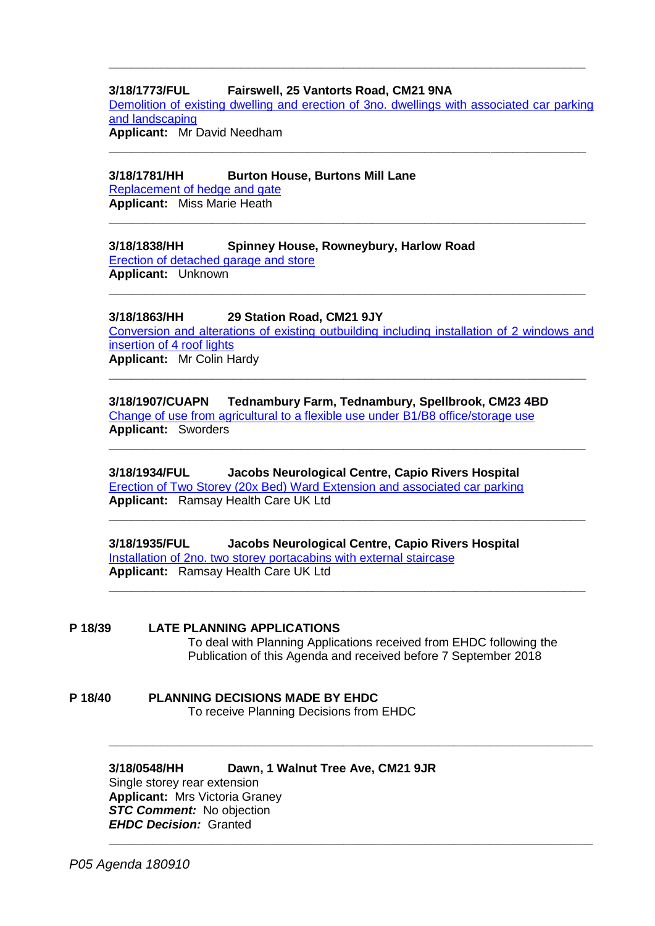# **3/18/1773/FUL Fairswell, 25 Vantorts Road, CM21 9NA**

[Demolition of existing dwelling and erection of 3no. dwellings with associated car parking](https://publicaccess.eastherts.gov.uk/online-applications/applicationDetails.do?activeTab=documents&keyVal=PCU9RCGLN5B00)  [and landscaping](https://publicaccess.eastherts.gov.uk/online-applications/applicationDetails.do?activeTab=documents&keyVal=PCU9RCGLN5B00)

**\_\_\_\_\_\_\_\_\_\_\_\_\_\_\_\_\_\_\_\_\_\_\_\_\_\_\_\_\_\_\_\_\_\_\_\_\_\_\_\_\_\_\_\_\_\_\_\_\_\_\_\_\_\_\_\_\_\_\_\_\_\_\_\_\_**

**\_\_\_\_\_\_\_\_\_\_\_\_\_\_\_\_\_\_\_\_\_\_\_\_\_\_\_\_\_\_\_\_\_\_\_\_\_\_\_\_\_\_\_\_\_\_\_\_\_\_\_\_\_\_\_\_\_\_\_\_\_\_\_\_\_**

**\_\_\_\_\_\_\_\_\_\_\_\_\_\_\_\_\_\_\_\_\_\_\_\_\_\_\_\_\_\_\_\_\_\_\_\_\_\_\_\_\_\_\_\_\_\_\_\_\_\_\_\_\_\_\_\_\_\_\_\_\_\_\_\_\_**

**\_\_\_\_\_\_\_\_\_\_\_\_\_\_\_\_\_\_\_\_\_\_\_\_\_\_\_\_\_\_\_\_\_\_\_\_\_\_\_\_\_\_\_\_\_\_\_\_\_\_\_\_\_\_\_\_\_\_\_\_\_\_\_\_\_**

**Applicant:** Mr David Needham

#### **3/18/1781/HH Burton House, Burtons Mill Lane**

[Replacement of hedge and gate](https://publicaccess.eastherts.gov.uk/online-applications/applicationDetails.do?activeTab=documents&keyVal=PCW4EQGLFG500) **Applicant:** Miss Marie Heath

#### **3/18/1838/HH Spinney House, Rowneybury, Harlow Road**

[Erection of detached garage and store](https://publicaccess.eastherts.gov.uk/online-applications/applicationDetails.do?activeTab=documents&keyVal=PDGCKYGL05W00) **Applicant:** Unknown

#### **3/18/1863/HH 29 Station Road, CM21 9JY**

[Conversion and alterations of existing outbuilding including installation of 2 windows and](https://publicaccess.eastherts.gov.uk/online-applications/applicationDetails.do?activeTab=documents&keyVal=PDK74YGLFLI00)  [insertion of 4 roof lights](https://publicaccess.eastherts.gov.uk/online-applications/applicationDetails.do?activeTab=documents&keyVal=PDK74YGLFLI00) **Applicant:** Mr Colin Hardy

**\_\_\_\_\_\_\_\_\_\_\_\_\_\_\_\_\_\_\_\_\_\_\_\_\_\_\_\_\_\_\_\_\_\_\_\_\_\_\_\_\_\_\_\_\_\_\_\_\_\_\_\_\_\_\_\_\_\_\_\_\_\_\_\_\_**

**\_\_\_\_\_\_\_\_\_\_\_\_\_\_\_\_\_\_\_\_\_\_\_\_\_\_\_\_\_\_\_\_\_\_\_\_\_\_\_\_\_\_\_\_\_\_\_\_\_\_\_\_\_\_\_\_\_\_\_\_\_\_\_\_\_**

**\_\_\_\_\_\_\_\_\_\_\_\_\_\_\_\_\_\_\_\_\_\_\_\_\_\_\_\_\_\_\_\_\_\_\_\_\_\_\_\_\_\_\_\_\_\_\_\_\_\_\_\_\_\_\_\_\_\_\_\_\_\_\_\_\_**

**\_\_\_\_\_\_\_\_\_\_\_\_\_\_\_\_\_\_\_\_\_\_\_\_\_\_\_\_\_\_\_\_\_\_\_\_\_\_\_\_\_\_\_\_\_\_\_\_\_\_\_\_\_\_\_\_\_\_\_\_\_\_\_\_\_**

**\_\_\_\_\_\_\_\_\_\_\_\_\_\_\_\_\_\_\_\_\_\_\_\_\_\_\_\_\_\_\_\_\_\_\_\_\_\_\_\_\_\_\_\_\_\_\_\_\_\_\_\_\_\_\_\_\_\_\_\_\_\_\_\_\_\_**

**\_\_\_\_\_\_\_\_\_\_\_\_\_\_\_\_\_\_\_\_\_\_\_\_\_\_\_\_\_\_\_\_\_\_\_\_\_\_\_\_\_\_\_\_\_\_\_\_\_\_\_\_\_\_\_\_\_\_\_\_\_\_\_\_\_\_**

**3/18/1907/CUAPN Tednambury Farm, Tednambury, Spellbrook, CM23 4BD** [Change of use from agricultural to a flexible use under B1/B8 office/storage use](https://publicaccess.eastherts.gov.uk/online-applications/applicationDetails.do?activeTab=documents&keyVal=PDVBUGGL00X00) **Applicant:** Sworders

**3/18/1934/FUL Jacobs Neurological Centre, Capio Rivers Hospital** [Erection of Two Storey \(20x Bed\) Ward Extension and associated car parking](https://publicaccess.eastherts.gov.uk/online-applications/applicationDetails.do?activeTab=documents&keyVal=PE61XTGL00X00) **Applicant:** Ramsay Health Care UK Ltd

**3/18/1935/FUL Jacobs Neurological Centre, Capio Rivers Hospital** [Installation of 2no. two storey portacabins with external staircase](https://publicaccess.eastherts.gov.uk/online-applications/applicationDetails.do?activeTab=documents&keyVal=PE627EGL00X00) **Applicant:** Ramsay Health Care UK Ltd

#### **P 18/39 LATE PLANNING APPLICATIONS**

To deal with Planning Applications received from EHDC following the Publication of this Agenda and received before 7 September 2018

**P 18/40 PLANNING DECISIONS MADE BY EHDC** To receive Planning Decisions from EHDC

#### **3/18/0548/HH Dawn, 1 Walnut Tree Ave, CM21 9JR** Single storey rear extension **Applicant:** Mrs Victoria Graney **STC Comment:** No objection *EHDC Decision:* Granted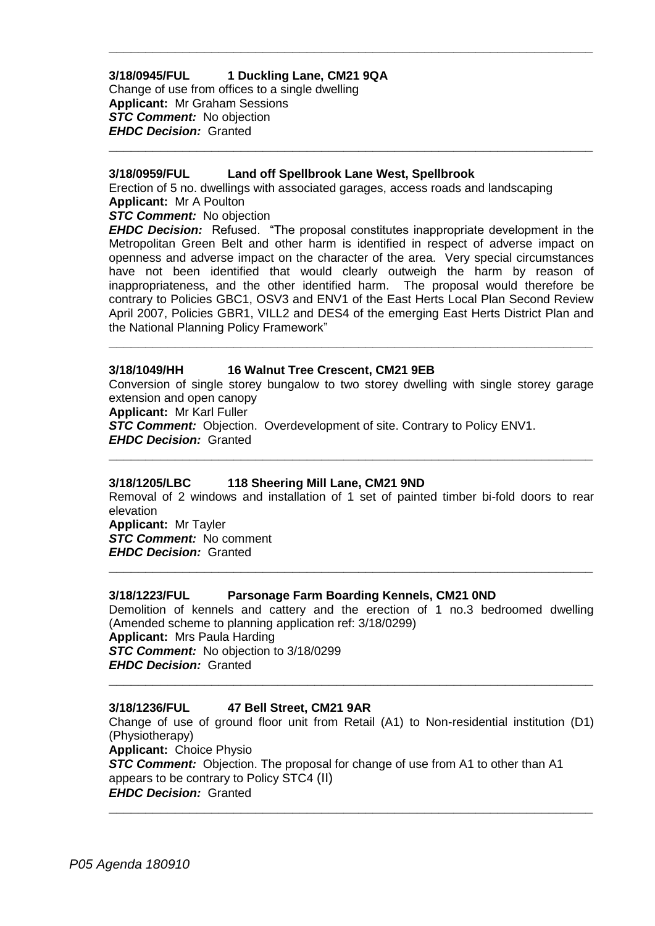#### **3/18/0945/FUL 1 Duckling Lane, CM21 9QA** Change of use from offices to a single dwelling **Applicant:** Mr Graham Sessions *STC Comment:* No objection *EHDC Decision:* Granted

#### **3/18/0959/FUL Land off Spellbrook Lane West, Spellbrook**

Erection of 5 no. dwellings with associated garages, access roads and landscaping **Applicant:** Mr A Poulton

**\_\_\_\_\_\_\_\_\_\_\_\_\_\_\_\_\_\_\_\_\_\_\_\_\_\_\_\_\_\_\_\_\_\_\_\_\_\_\_\_\_\_\_\_\_\_\_\_\_\_\_\_\_\_\_\_\_\_\_\_\_\_\_\_\_\_**

**\_\_\_\_\_\_\_\_\_\_\_\_\_\_\_\_\_\_\_\_\_\_\_\_\_\_\_\_\_\_\_\_\_\_\_\_\_\_\_\_\_\_\_\_\_\_\_\_\_\_\_\_\_\_\_\_\_\_\_\_\_\_\_\_\_\_**

*STC Comment:* No objection

*EHDC Decision:* Refused. "The proposal constitutes inappropriate development in the Metropolitan Green Belt and other harm is identified in respect of adverse impact on openness and adverse impact on the character of the area. Very special circumstances have not been identified that would clearly outweigh the harm by reason of inappropriateness, and the other identified harm. The proposal would therefore be contrary to Policies GBC1, OSV3 and ENV1 of the East Herts Local Plan Second Review April 2007, Policies GBR1, VILL2 and DES4 of the emerging East Herts District Plan and the National Planning Policy Framework"

**\_\_\_\_\_\_\_\_\_\_\_\_\_\_\_\_\_\_\_\_\_\_\_\_\_\_\_\_\_\_\_\_\_\_\_\_\_\_\_\_\_\_\_\_\_\_\_\_\_\_\_\_\_\_\_\_\_\_\_\_\_\_\_\_\_\_**

#### **3/18/1049/HH 16 Walnut Tree Crescent, CM21 9EB**

Conversion of single storey bungalow to two storey dwelling with single storey garage extension and open canopy **Applicant:** Mr Karl Fuller *STC Comment:* Objection. Overdevelopment of site. Contrary to Policy ENV1. *EHDC Decision:* Granted

**\_\_\_\_\_\_\_\_\_\_\_\_\_\_\_\_\_\_\_\_\_\_\_\_\_\_\_\_\_\_\_\_\_\_\_\_\_\_\_\_\_\_\_\_\_\_\_\_\_\_\_\_\_\_\_\_\_\_\_\_\_\_\_\_\_\_**

#### **3/18/1205/LBC 118 Sheering Mill Lane, CM21 9ND**

Removal of 2 windows and installation of 1 set of painted timber bi-fold doors to rear elevation **Applicant:** Mr Tayler *STC Comment:* No comment

**\_\_\_\_\_\_\_\_\_\_\_\_\_\_\_\_\_\_\_\_\_\_\_\_\_\_\_\_\_\_\_\_\_\_\_\_\_\_\_\_\_\_\_\_\_\_\_\_\_\_\_\_\_\_\_\_\_\_\_\_\_\_\_\_\_\_**

*EHDC Decision:* Granted

# **3/18/1223/FUL Parsonage Farm Boarding Kennels, CM21 0ND**

Demolition of kennels and cattery and the erection of 1 no.3 bedroomed dwelling (Amended scheme to planning application ref: 3/18/0299) **Applicant:** Mrs Paula Harding *STC Comment:* No objection to 3/18/0299 *EHDC Decision:* Granted

**\_\_\_\_\_\_\_\_\_\_\_\_\_\_\_\_\_\_\_\_\_\_\_\_\_\_\_\_\_\_\_\_\_\_\_\_\_\_\_\_\_\_\_\_\_\_\_\_\_\_\_\_\_\_\_\_\_\_\_\_\_\_\_\_\_\_**

# **3/18/1236/FUL 47 Bell Street, CM21 9AR**

Change of use of ground floor unit from Retail (A1) to Non-residential institution (D1) (Physiotherapy) **Applicant:** Choice Physio

**\_\_\_\_\_\_\_\_\_\_\_\_\_\_\_\_\_\_\_\_\_\_\_\_\_\_\_\_\_\_\_\_\_\_\_\_\_\_\_\_\_\_\_\_\_\_\_\_\_\_\_\_\_\_\_\_\_\_\_\_\_\_\_\_\_\_**

**STC Comment:** Objection. The proposal for change of use from A1 to other than A1 appears to be contrary to Policy STC4 (II) *EHDC Decision:* Granted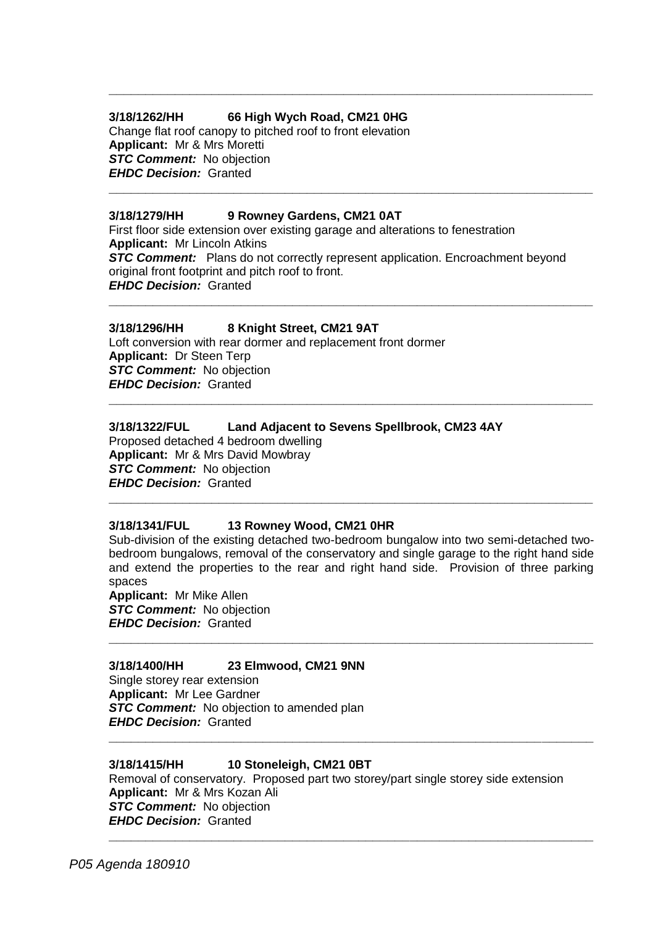# **3/18/1262/HH 66 High Wych Road, CM21 0HG**

Change flat roof canopy to pitched roof to front elevation **Applicant:** Mr & Mrs Moretti **STC Comment:** No objection *EHDC Decision:* Granted

## **3/18/1279/HH 9 Rowney Gardens, CM21 0AT**

First floor side extension over existing garage and alterations to fenestration **Applicant:** Mr Lincoln Atkins **STC Comment:** Plans do not correctly represent application. Encroachment beyond original front footprint and pitch roof to front. *EHDC Decision:* Granted **\_\_\_\_\_\_\_\_\_\_\_\_\_\_\_\_\_\_\_\_\_\_\_\_\_\_\_\_\_\_\_\_\_\_\_\_\_\_\_\_\_\_\_\_\_\_\_\_\_\_\_\_\_\_\_\_\_\_\_\_\_\_\_\_\_\_**

**\_\_\_\_\_\_\_\_\_\_\_\_\_\_\_\_\_\_\_\_\_\_\_\_\_\_\_\_\_\_\_\_\_\_\_\_\_\_\_\_\_\_\_\_\_\_\_\_\_\_\_\_\_\_\_\_\_\_\_\_\_\_\_\_\_\_**

**\_\_\_\_\_\_\_\_\_\_\_\_\_\_\_\_\_\_\_\_\_\_\_\_\_\_\_\_\_\_\_\_\_\_\_\_\_\_\_\_\_\_\_\_\_\_\_\_\_\_\_\_\_\_\_\_\_\_\_\_\_\_\_\_\_\_**

# **3/18/1296/HH 8 Knight Street, CM21 9AT**

Loft conversion with rear dormer and replacement front dormer **Applicant:** Dr Steen Terp *STC Comment:* No objection *EHDC Decision:* Granted

# **3/18/1322/FUL Land Adjacent to Sevens Spellbrook, CM23 4AY**

Proposed detached 4 bedroom dwelling **Applicant:** Mr & Mrs David Mowbray **STC Comment:** No objection *EHDC Decision:* Granted

#### **3/18/1341/FUL 13 Rowney Wood, CM21 0HR**

Sub-division of the existing detached two-bedroom bungalow into two semi-detached twobedroom bungalows, removal of the conservatory and single garage to the right hand side and extend the properties to the rear and right hand side. Provision of three parking spaces

**\_\_\_\_\_\_\_\_\_\_\_\_\_\_\_\_\_\_\_\_\_\_\_\_\_\_\_\_\_\_\_\_\_\_\_\_\_\_\_\_\_\_\_\_\_\_\_\_\_\_\_\_\_\_\_\_\_\_\_\_\_\_\_\_\_\_**

**\_\_\_\_\_\_\_\_\_\_\_\_\_\_\_\_\_\_\_\_\_\_\_\_\_\_\_\_\_\_\_\_\_\_\_\_\_\_\_\_\_\_\_\_\_\_\_\_\_\_\_\_\_\_\_\_\_\_\_\_\_\_\_\_\_\_**

**\_\_\_\_\_\_\_\_\_\_\_\_\_\_\_\_\_\_\_\_\_\_\_\_\_\_\_\_\_\_\_\_\_\_\_\_\_\_\_\_\_\_\_\_\_\_\_\_\_\_\_\_\_\_\_\_\_\_\_\_\_\_\_\_\_\_**

**\_\_\_\_\_\_\_\_\_\_\_\_\_\_\_\_\_\_\_\_\_\_\_\_\_\_\_\_\_\_\_\_\_\_\_\_\_\_\_\_\_\_\_\_\_\_\_\_\_\_\_\_\_\_\_\_\_\_\_\_\_\_\_\_\_\_**

**\_\_\_\_\_\_\_\_\_\_\_\_\_\_\_\_\_\_\_\_\_\_\_\_\_\_\_\_\_\_\_\_\_\_\_\_\_\_\_\_\_\_\_\_\_\_\_\_\_\_\_\_\_\_\_\_\_\_\_\_\_\_\_\_\_\_**

**Applicant:** Mr Mike Allen *STC Comment:* No objection *EHDC Decision:* Granted

#### **3/18/1400/HH 23 Elmwood, CM21 9NN**

Single storey rear extension **Applicant:** Mr Lee Gardner **STC Comment:** No objection to amended plan *EHDC Decision:* Granted

#### **3/18/1415/HH 10 Stoneleigh, CM21 0BT**

Removal of conservatory. Proposed part two storey/part single storey side extension **Applicant:** Mr & Mrs Kozan Ali *STC Comment:* No objection *EHDC Decision:* Granted